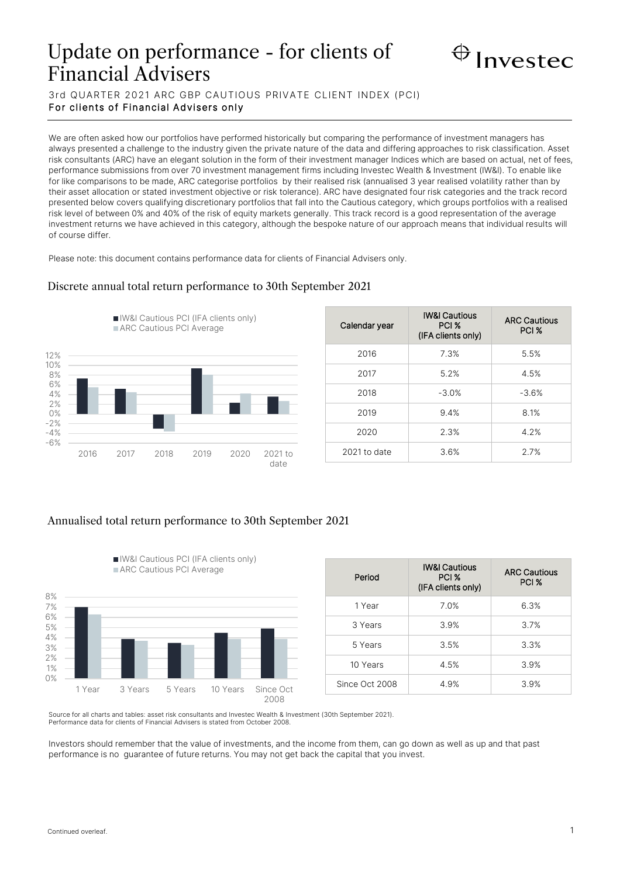# Update on performance - for clients of Financial Advisers



3rd QUARTER 2021 ARC GBP CAUTIOUS PRIVATE CLIENT INDEX (PCI) For clients of Financial Advisers only

We are often asked how our portfolios have performed historically but comparing the performance of investment managers has always presented a challenge to the industry given the private nature of the data and differing approaches to risk classification. Asset risk consultants (ARC) have an elegant solution in the form of their investment manager Indices which are based on actual, net of fees, performance submissions from over 70 investment management firms including Investec Wealth & Investment (IW&I). To enable like for like comparisons to be made, ARC categorise portfolios by their realised risk (annualised 3 year realised volatility rather than by their asset allocation or stated investment objective or risk tolerance). ARC have designated four risk categories and the track record presented below covers qualifying discretionary portfolios that fall into the Cautious category, which groups portfolios with a realised risk level of between 0% and 40% of the risk of equity markets generally. This track record is a good representation of the average investment returns we have achieved in this category, although the bespoke nature of our approach means that individual results will of course differ.

Please note: this document contains performance data for clients of Financial Advisers only.

### -6% -4% -2% 0% 2% 4% 6% 8% 10% 12% 2016 2017 2018 2019 2020 2021 to **IN&I Cautious PCI (IFA clients only)** ARC Cautious PCI Average

| Calendar year | <b>IW&amp;I Cautious</b><br>PCI %<br>(IFA clients only) | <b>ARC Cautious</b><br>PCI <sub>%</sub> |
|---------------|---------------------------------------------------------|-----------------------------------------|
| 2016          | 7.3%                                                    | 5.5%                                    |
| 2017          | 5.2%                                                    | 4.5%                                    |
| 2018          | $-3.0%$                                                 | $-3.6%$                                 |
| 2019          | 9.4%                                                    | 8.1%                                    |
| 2020          | 2.3%                                                    | 4.2%                                    |
| 2021 to date  | 3.6%                                                    | 2.7%                                    |

# Annualised total return performance to 30th September 2021

IW&I Cautious PCI (IFA clients only)



| Period         | <b>IW&amp;I Cautious</b><br>PCI %<br>(IFA clients only) | <b>ARC Cautious</b><br>PCI % |
|----------------|---------------------------------------------------------|------------------------------|
| 1 Year         | 7.0%                                                    | 6.3%                         |
| 3 Years        | 3.9%                                                    | 3.7%                         |
| 5 Years        | 3.5%                                                    | 3.3%                         |
| 10 Years       | 4.5%                                                    | 3.9%                         |
| Since Oct 2008 | 4.9%                                                    | 3.9%                         |

Source for all charts and tables: asset risk consultants and Investec Wealth & Investment (30th September 2021). Performance data for clients of Financial Advisers is stated from October 2008.

Investors should remember that the value of investments, and the income from them, can go down as well as up and that past performance is no guarantee of future returns. You may not get back the capital that you invest.

date

## Discrete annual total return performance to 30th September 2021